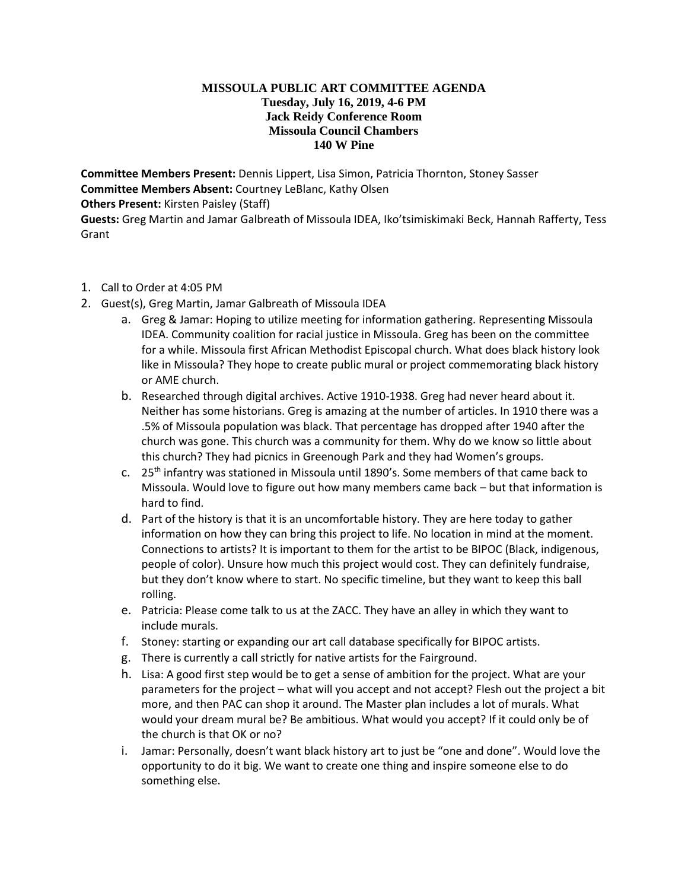## **MISSOULA PUBLIC ART COMMITTEE AGENDA Tuesday, July 16, 2019, 4-6 PM Jack Reidy Conference Room Missoula Council Chambers 140 W Pine**

**Committee Members Present:** Dennis Lippert, Lisa Simon, Patricia Thornton, Stoney Sasser **Committee Members Absent:** Courtney LeBlanc, Kathy Olsen **Others Present:** Kirsten Paisley (Staff)

**Guests:** Greg Martin and Jamar Galbreath of Missoula IDEA, Iko'tsimiskimaki Beck, Hannah Rafferty, Tess Grant

- 1. Call to Order at 4:05 PM
- 2. Guest(s), Greg Martin, Jamar Galbreath of Missoula IDEA
	- a. Greg & Jamar: Hoping to utilize meeting for information gathering. Representing Missoula IDEA. Community coalition for racial justice in Missoula. Greg has been on the committee for a while. Missoula first African Methodist Episcopal church. What does black history look like in Missoula? They hope to create public mural or project commemorating black history or AME church.
	- b. Researched through digital archives. Active 1910-1938. Greg had never heard about it. Neither has some historians. Greg is amazing at the number of articles. In 1910 there was a .5% of Missoula population was black. That percentage has dropped after 1940 after the church was gone. This church was a community for them. Why do we know so little about this church? They had picnics in Greenough Park and they had Women's groups.
	- c.  $25<sup>th</sup>$  infantry was stationed in Missoula until 1890's. Some members of that came back to Missoula. Would love to figure out how many members came back – but that information is hard to find.
	- d. Part of the history is that it is an uncomfortable history. They are here today to gather information on how they can bring this project to life. No location in mind at the moment. Connections to artists? It is important to them for the artist to be BIPOC (Black, indigenous, people of color). Unsure how much this project would cost. They can definitely fundraise, but they don't know where to start. No specific timeline, but they want to keep this ball rolling.
	- e. Patricia: Please come talk to us at the ZACC. They have an alley in which they want to include murals.
	- f. Stoney: starting or expanding our art call database specifically for BIPOC artists.
	- g. There is currently a call strictly for native artists for the Fairground.
	- h. Lisa: A good first step would be to get a sense of ambition for the project. What are your parameters for the project – what will you accept and not accept? Flesh out the project a bit more, and then PAC can shop it around. The Master plan includes a lot of murals. What would your dream mural be? Be ambitious. What would you accept? If it could only be of the church is that OK or no?
	- i. Jamar: Personally, doesn't want black history art to just be "one and done". Would love the opportunity to do it big. We want to create one thing and inspire someone else to do something else.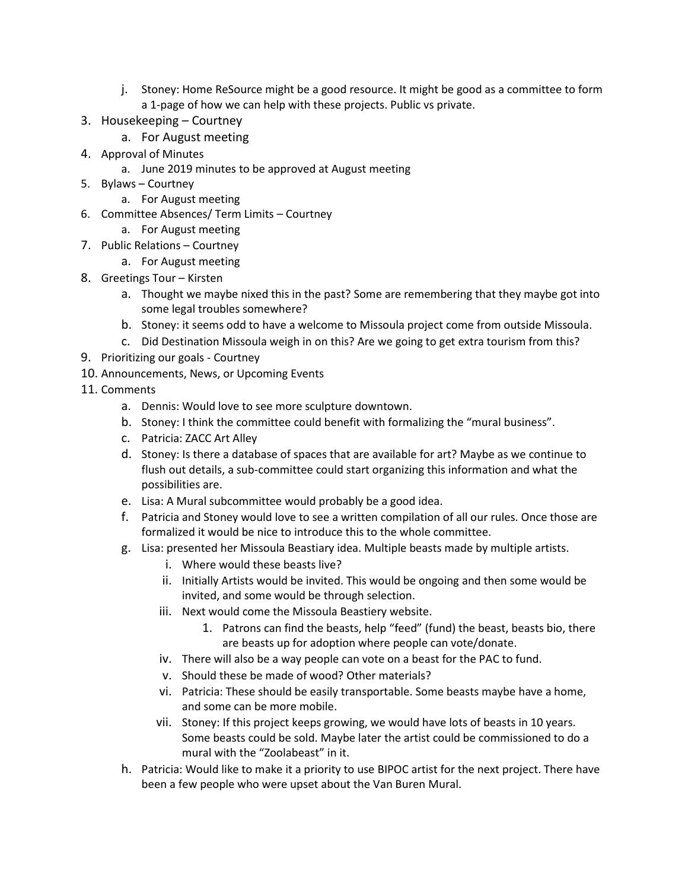- j. Stoney: Home ReSource might be a good resource. It might be good as a committee to form a 1-page of how we can help with these projects. Public vs private.
- 3. Housekeeping Courtney
	- a. For August meeting
- 4. Approval of Minutes
	- a. June 2019 minutes to be approved at August meeting
- 5. Bylaws Courtney
	- a. For August meeting
- 6. Committee Absences/ Term Limits Courtney
	- a. For August meeting
- 7. Public Relations Courtney
	- a. For August meeting
- 8. Greetings Tour Kirsten
	- a. Thought we maybe nixed this in the past? Some are remembering that they maybe got into some legal troubles somewhere?
	- b. Stoney: it seems odd to have a welcome to Missoula project come from outside Missoula.
	- c. Did Destination Missoula weigh in on this? Are we going to get extra tourism from this?
- 9. Prioritizing our goals Courtney
- 10. Announcements, News, or Upcoming Events
- 11. Comments
	- a. Dennis: Would love to see more sculpture downtown.
	- b. Stoney: I think the committee could benefit with formalizing the "mural business".
	- c. Patricia: ZACC Art Alley
	- d. Stoney: Is there a database of spaces that are available for art? Maybe as we continue to flush out details, a sub-committee could start organizing this information and what the possibilities are.
	- e. Lisa: A Mural subcommittee would probably be a good idea.
	- f. Patricia and Stoney would love to see a written compilation of all our rules. Once those are formalized it would be nice to introduce this to the whole committee.
	- g. Lisa: presented her Missoula Beastiary idea. Multiple beasts made by multiple artists.
		- i. Where would these beasts live?
		- ii. Initially Artists would be invited. This would be ongoing and then some would be invited, and some would be through selection.
		- iii. Next would come the Missoula Beastiery website.
			- 1. Patrons can find the beasts, help "feed" (fund) the beast, beasts bio, there are beasts up for adoption where people can vote/donate.
		- iv. There will also be a way people can vote on a beast for the PAC to fund.
		- v. Should these be made of wood? Other materials?
		- vi. Patricia: These should be easily transportable. Some beasts maybe have a home, and some can be more mobile.
		- vii. Stoney: If this project keeps growing, we would have lots of beasts in 10 years. Some beasts could be sold. Maybe later the artist could be commissioned to do a mural with the "Zoolabeast" in it.
	- h. Patricia: Would like to make it a priority to use BIPOC artist for the next project. There have been a few people who were upset about the Van Buren Mural.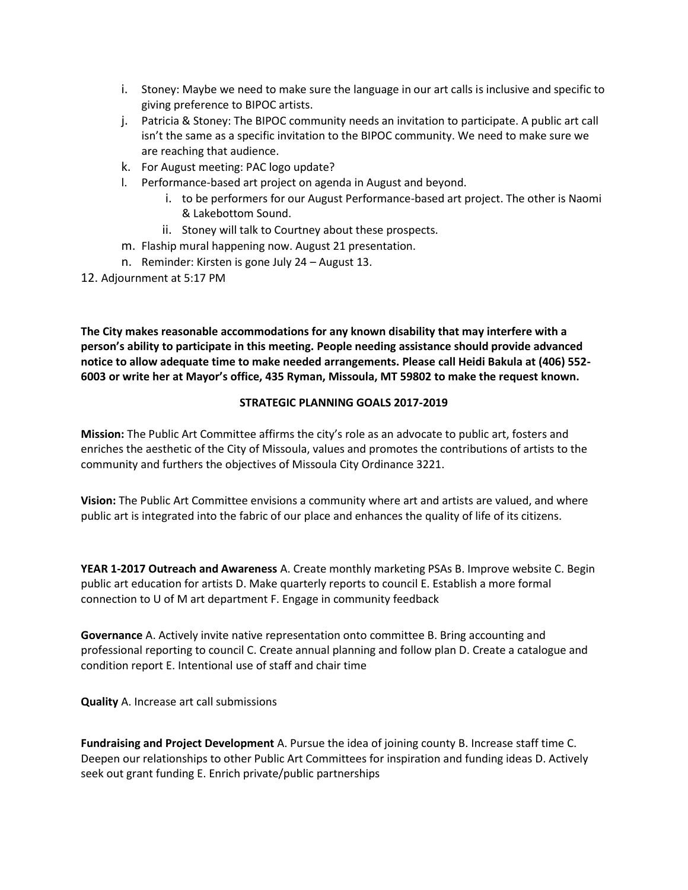- i. Stoney: Maybe we need to make sure the language in our art calls is inclusive and specific to giving preference to BIPOC artists.
- j. Patricia & Stoney: The BIPOC community needs an invitation to participate. A public art call isn't the same as a specific invitation to the BIPOC community. We need to make sure we are reaching that audience.
- k. For August meeting: PAC logo update?
- l. Performance-based art project on agenda in August and beyond.
	- i. to be performers for our August Performance-based art project. The other is Naomi & Lakebottom Sound.
	- ii. Stoney will talk to Courtney about these prospects.
- m. Flaship mural happening now. August 21 presentation.
- n. Reminder: Kirsten is gone July 24 August 13.
- 12. Adjournment at 5:17 PM

**The City makes reasonable accommodations for any known disability that may interfere with a person's ability to participate in this meeting. People needing assistance should provide advanced notice to allow adequate time to make needed arrangements. Please call Heidi Bakula at (406) 552- 6003 or write her at Mayor's office, 435 Ryman, Missoula, MT 59802 to make the request known.** 

## **STRATEGIC PLANNING GOALS 2017-2019**

**Mission:** The Public Art Committee affirms the city's role as an advocate to public art, fosters and enriches the aesthetic of the City of Missoula, values and promotes the contributions of artists to the community and furthers the objectives of Missoula City Ordinance 3221.

**Vision:** The Public Art Committee envisions a community where art and artists are valued, and where public art is integrated into the fabric of our place and enhances the quality of life of its citizens.

**YEAR 1-2017 Outreach and Awareness** A. Create monthly marketing PSAs B. Improve website C. Begin public art education for artists D. Make quarterly reports to council E. Establish a more formal connection to U of M art department F. Engage in community feedback

**Governance** A. Actively invite native representation onto committee B. Bring accounting and professional reporting to council C. Create annual planning and follow plan D. Create a catalogue and condition report E. Intentional use of staff and chair time

**Quality** A. Increase art call submissions

**Fundraising and Project Development** A. Pursue the idea of joining county B. Increase staff time C. Deepen our relationships to other Public Art Committees for inspiration and funding ideas D. Actively seek out grant funding E. Enrich private/public partnerships